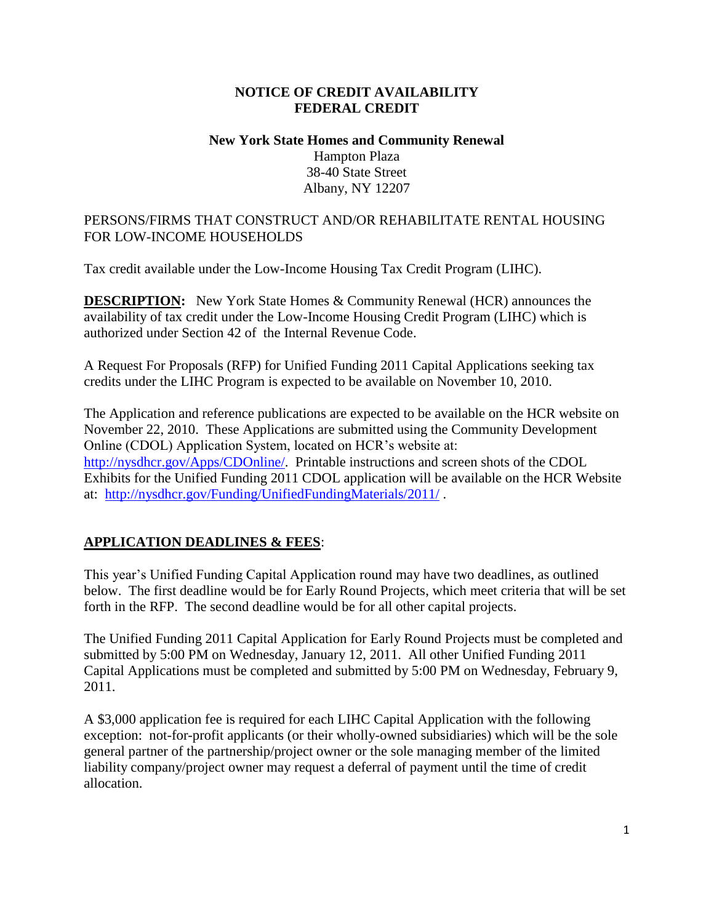### **NOTICE OF CREDIT AVAILABILITY FEDERAL CREDIT**

### **New York State Homes and Community Renewal** Hampton Plaza 38-40 State Street Albany, NY 12207

### PERSONS/FIRMS THAT CONSTRUCT AND/OR REHABILITATE RENTAL HOUSING FOR LOW-INCOME HOUSEHOLDS

Tax credit available under the Low-Income Housing Tax Credit Program (LIHC).

**DESCRIPTION:** New York State Homes & Community Renewal (HCR) announces the availability of tax credit under the Low-Income Housing Credit Program (LIHC) which is authorized under Section 42 of the Internal Revenue Code.

A Request For Proposals (RFP) for Unified Funding 2011 Capital Applications seeking tax credits under the LIHC Program is expected to be available on November 10, 2010.

The Application and reference publications are expected to be available on the HCR website on November 22, 2010. These Applications are submitted using the Community Development Online (CDOL) Application System, located on HCR's website at: [http://nysdhcr.gov/Apps/CDOnline/.](http://nysdhcr.gov/Apps/CDOnline/) Printable instructions and screen shots of the CDOL Exhibits for the Unified Funding 2011 CDOL application will be available on the HCR Website at: <http://nysdhcr.gov/Funding/UnifiedFundingMaterials/2011/> .

# **APPLICATION DEADLINES & FEES**:

This year's Unified Funding Capital Application round may have two deadlines, as outlined below. The first deadline would be for Early Round Projects, which meet criteria that will be set forth in the RFP. The second deadline would be for all other capital projects.

The Unified Funding 2011 Capital Application for Early Round Projects must be completed and submitted by 5:00 PM on Wednesday, January 12, 2011. All other Unified Funding 2011 Capital Applications must be completed and submitted by 5:00 PM on Wednesday, February 9, 2011.

A \$3,000 application fee is required for each LIHC Capital Application with the following exception: not-for-profit applicants (or their wholly-owned subsidiaries) which will be the sole general partner of the partnership/project owner or the sole managing member of the limited liability company/project owner may request a deferral of payment until the time of credit allocation.